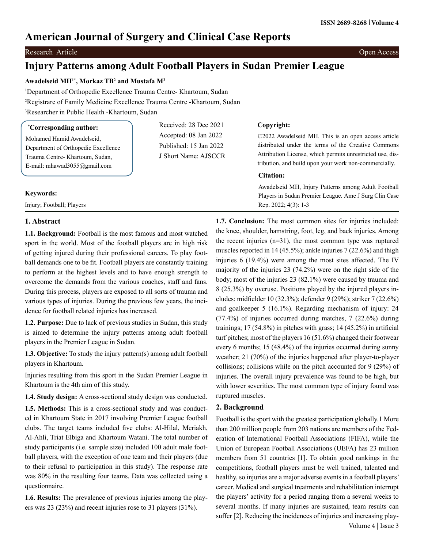# **American Journal of Surgery and Clinical Case Reports**

## **Research Article Open Access**

## **Injury Patterns among Adult Football Players in Sudan Premier League**

## **Awadelseid MH1\*, Morkaz TB2 and Mustafa M3**

1 Department of Orthopedic Excellence Trauma Centre- Khartoum, Sudan 2 Registrare of Family Medicine Excellence Trauma Centre -Khartoum, Sudan 3 Researcher in Public Health -Khartoum, Sudan

| <i>*Corresponding author:</i>                                    | Received: 28 Dec 2021  | Copyright:                                                |
|------------------------------------------------------------------|------------------------|-----------------------------------------------------------|
| Mohamed Hamid Awadelseid,<br>Department of Orthopedic Excellence | Accepted: 08 Jan 2022  | ©2022 Awadelseid MH. This is an open access article       |
|                                                                  | Published: 15 Jan 2022 | distributed under the terms of the Creative Commons       |
| Trauma Centre-Khartoum, Sudan,                                   | J Short Name: AJSCCR   | Attribution License, which permits unrestricted use, dis- |
| E-mail: mhawad $3055@g$ mail.com                                 |                        | tribution, and build upon your work non-commercially.     |
|                                                                  |                        | Citation:                                                 |
|                                                                  |                        | Awadelseid MH, Injury Patterns among Adult Football       |
| <b>Keywords:</b>                                                 |                        | Players in Sudan Premier League. Ame J Surg Clin Case     |
| Injury; Football; Players                                        |                        | Rep. $2022$ ; $4(3)$ : 1-3                                |

## **1. Abstract**

**1.1. Background:** Football is the most famous and most watched sport in the world. Most of the football players are in high risk of getting injured during their professional careers. To play football demands one to be fit. Football players are constantly training to perform at the highest levels and to have enough strength to overcome the demands from the various coaches, staff and fans. During this process, players are exposed to all sorts of trauma and various types of injuries. During the previous few years, the incidence for football related injuries has increased.

**1.2. Purpose:** Due to lack of previous studies in Sudan, this study is aimed to determine the injury patterns among adult football players in the Premier League in Sudan.

**1.3. Objective:** To study the injury pattern(s) among adult football players in Khartoum.

Injuries resulting from this sport in the Sudan Premier League in Khartoum is the 4th aim of this study.

**1.4. Study design:** A cross-sectional study design was conducted.

**1.5. Methods:** This is a cross-sectional study and was conducted in Khartoum State in 2017 involving Premier League football clubs. The target teams included five clubs: Al-Hilal, Meriakh, Al-Ahli, Triat Elbiga and Khartoum Watani. The total number of study participants (i.e. sample size) included 100 adult male football players, with the exception of one team and their players (due to their refusal to participation in this study). The response rate was 80% in the resulting four teams. Data was collected using a questionnaire.

**1.6. Results:** The prevalence of previous injuries among the players was 23 (23%) and recent injuries rose to 31 players (31%).

**1.7. Conclusion:** The most common sites for injuries included: the knee, shoulder, hamstring, foot, leg, and back injuries. Among the recent injuries  $(n=31)$ , the most common type was ruptured muscles reported in 14 (45.5%); ankle injuries 7 (22.6%) and thigh injuries 6 (19.4%) were among the most sites affected. The IV majority of the injuries 23 (74.2%) were on the right side of the body; most of the injuries 23 (82.1%) were caused by trauma and 8 (25.3%) by overuse. Positions played by the injured players includes: midfielder 10 (32.3%); defender 9 (29%); striker 7 (22.6%) and goalkeeper 5 (16.1%). Regarding mechanism of injury: 24 (77.4%) of injuries occurred during matches, 7 (22.6%) during trainings; 17 (54.8%) in pitches with grass; 14 (45.2%) in artificial turf pitches; most of the players 16 (51.6%) changed their footwear every 6 months; 15 (48.4%) of the injuries occurred during sunny weather; 21 (70%) of the injuries happened after player-to-player collisions; collisions while on the pitch accounted for 9 (29%) of injuries. The overall injury prevalence was found to be high, but with lower severities. The most common type of injury found was ruptured muscles.

## **2. Background**

Football is the sport with the greatest participation globally.1 More than 200 million people from 203 nations are members of the Federation of International Football Associations (FIFA), while the Union of European Football Associations (UEFA) has 23 million members from 51 countries [1]. To obtain good rankings in the competitions, football players must be well trained, talented and healthy, so injuries are a major adverse events in a football players' career. Medical and surgical treatments and rehabilitation interrupt the players' activity for a period ranging from a several weeks to several months. If many injuries are sustained, team results can suffer [2]. Reducing the incidences of injuries and increasing play- Volume 4 | Issue 3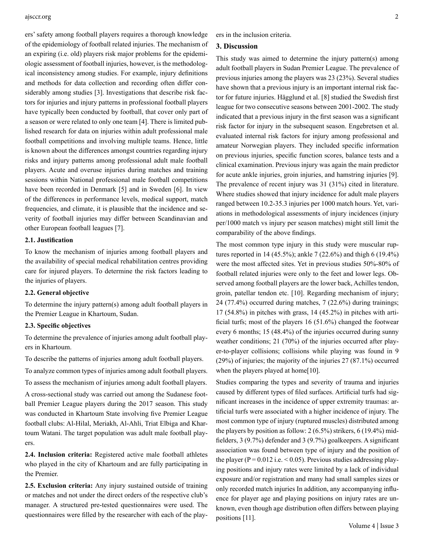#### ajsccr.org 2

ers' safety among football players requires a thorough knowledge of the epidemiology of football related injuries. The mechanism of an expiring (i.e. old) players risk major problems for the epidemiologic assessment of football injuries, however, is the methodological inconsistency among studies. For example, injury definitions and methods for data collection and recording often differ considerably among studies [3]. Investigations that describe risk factors for injuries and injury patterns in professional football players have typically been conducted by football, that cover only part of a season or were related to only one team [4]. There is limited published research for data on injuries within adult professional male football competitions and involving multiple teams. Hence, little is known about the differences amongst countries regarding injury risks and injury patterns among professional adult male football players. Acute and overuse injuries during matches and training sessions within National professional male football competitions have been recorded in Denmark [5] and in Sweden [6]. In view of the differences in performance levels, medical support, match frequencies, and climate, it is plausible that the incidence and severity of football injuries may differ between Scandinavian and other European football leagues [7].

## **2.1. Justification**

To know the mechanism of injuries among football players and the availability of special medical rehabilitation centres providing care for injured players. To determine the risk factors leading to the injuries of players.

### **2.2. General objective**

To determine the injury pattern(s) among adult football players in the Premier League in Khartoum, Sudan.

#### **2.3. Specific objectives**

To determine the prevalence of injuries among adult football players in Khartoum.

To describe the patterns of injuries among adult football players.

To analyze common types of injuries among adult football players.

To assess the mechanism of injuries among adult football players.

A cross-sectional study was carried out among the Sudanese football Premier League players during the 2017 season. This study was conducted in Khartoum State involving five Premier League football clubs: Al-Hilal, Meriakh, Al-Ahli, Triat Elbiga and Khartoum Watani. The target population was adult male football players.

**2.4. Inclusion criteria:** Registered active male football athletes who played in the city of Khartoum and are fully participating in the Premier.

**2.5. Exclusion criteria:** Any injury sustained outside of training or matches and not under the direct orders of the respective club's manager. A structured pre-tested questionnaires were used. The questionnaires were filled by the researcher with each of the players in the inclusion criteria.

#### **3. Discussion**

This study was aimed to determine the injury pattern(s) among adult football players in Sudan Premier League. The prevalence of previous injuries among the players was 23 (23%). Several studies have shown that a previous injury is an important internal risk factor for future injuries. Hägglund et al. [8] studied the Swedish first league for two consecutive seasons between 2001-2002. The study indicated that a previous injury in the first season was a significant risk factor for injury in the subsequent season. Engebretsen et al. evaluated internal risk factors for injury among professional and amateur Norwegian players. They included specific information on previous injuries, specific function scores, balance tests and a clinical examination. Previous injury was again the main predictor for acute ankle injuries, groin injuries, and hamstring injuries [9]. The prevalence of recent injury was 31 (31%) cited in literature. Where studies showed that injury incidence for adult male players ranged between 10.2-35.3 injuries per 1000 match hours. Yet, variations in methodological assessments of injury incidences (injury per/1000 match vs injury per season matches) might still limit the comparability of the above findings.

The most common type injury in this study were muscular ruptures reported in 14 (45.5%); ankle 7 (22.6%) and thigh 6 (19.4%) were the most affected sites. Yet in previous studies 50%-80% of football related injuries were only to the feet and lower legs. Observed among football players are the lower back, Achilles tendon, groin, patellar tendon etc. [10]. Regarding mechanism of injury; 24 (77.4%) occurred during matches, 7 (22.6%) during trainings; 17 (54.8%) in pitches with grass, 14 (45.2%) in pitches with artificial turfs; most of the players 16 (51.6%) changed the footwear every 6 months; 15 (48.4%) of the injuries occurred during sunny weather conditions; 21 (70%) of the injuries occurred after player-to-player collisions; collisions while playing was found in 9 (29%) of injuries; the majority of the injuries 27 (87.1%) occurred when the players played at home[10].

Studies comparing the types and severity of trauma and injuries caused by different types of filed surfaces. Artificial turfs had significant increases in the incidence of upper extremity traumas: artificial turfs were associated with a higher incidence of injury. The most common type of injury (ruptured muscles) distributed among the players by position as follow:  $2(6.5\%)$  strikers,  $6(19.4\%)$  midfielders, 3 (9.7%) defender and 3 (9.7%) goalkeepers. A significant association was found between type of injury and the position of the player ( $P = 0.012$  i.e.  $\leq 0.05$ ). Previous studies addressing playing positions and injury rates were limited by a lack of individual exposure and/or registration and many had small samples sizes or only recorded match injuries In addition, any accompanying influence for player age and playing positions on injury rates are unknown, even though age distribution often differs between playing positions [11].